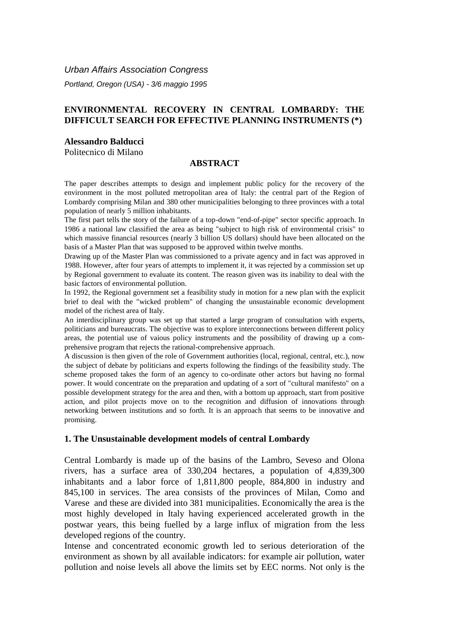### *Urban Affairs Association Congress*

*Portland, Oregon (USA) - 3/6 maggio 1995*

## **ENVIRONMENTAL RECOVERY IN CENTRAL LOMBARDY: THE DIFFICULT SEARCH FOR EFFECTIVE PLANNING INSTRUMENTS (\*)**

#### **Alessandro Balducci**

Politecnico di Milano

#### **ABSTRACT**

The paper describes attempts to design and implement public policy for the recovery of the environment in the most polluted metropolitan area of Italy: the central part of the Region of Lombardy comprising Milan and 380 other municipalities belonging to three provinces with a total population of nearly 5 million inhabitants.

The first part tells the story of the failure of a top-down "end-of-pipe" sector specific approach. In 1986 a national law classified the area as being "subject to high risk of environmental crisis" to which massive financial resources (nearly 3 billion US dollars) should have been allocated on the basis of a Master Plan that was supposed to be approved within twelve months.

Drawing up of the Master Plan was commissioned to a private agency and in fact was approved in 1988. However, after four years of attempts to implement it, it was rejected by a commission set up by Regional government to evaluate its content. The reason given was its inability to deal with the basic factors of environmental pollution.

In 1992, the Regional government set a feasibility study in motion for a new plan with the explicit brief to deal with the "wicked problem" of changing the unsustainable economic development model of the richest area of Italy.

An interdisciplinary group was set up that started a large program of consultation with experts, politicians and bureaucrats. The objective was to explore interconnections between different policy areas, the potential use of vaious policy instruments and the possibility of drawing up a comprehensive program that rejects the rational-comprehensive approach.

A discussion is then given of the role of Government authorities (local, regional, central, etc.), now the subject of debate by politicians and experts following the findings of the feasibility study. The scheme proposed takes the form of an agency to co-ordinate other actors but having no formal power. It would concentrate on the preparation and updating of a sort of "cultural manifesto" on a possible development strategy for the area and then, with a bottom up approach, start from positive action, and pilot projects move on to the recognition and diffusion of innovations through networking between institutions and so forth. It is an approach that seems to be innovative and promising.

#### **1. The Unsustainable development models of central Lombardy**

Central Lombardy is made up of the basins of the Lambro, Seveso and Olona rivers, has a surface area of 330,204 hectares, a population of 4,839,300 inhabitants and a labor force of 1,811,800 people, 884,800 in industry and 845,100 in services. The area consists of the provinces of Milan, Como and Varese and these are divided into 381 municipalities. Economically the area is the most highly developed in Italy having experienced accelerated growth in the postwar years, this being fuelled by a large influx of migration from the less developed regions of the country.

Intense and concentrated economic growth led to serious deterioration of the environment as shown by all available indicators: for example air pollution, water pollution and noise levels all above the limits set by EEC norms. Not only is the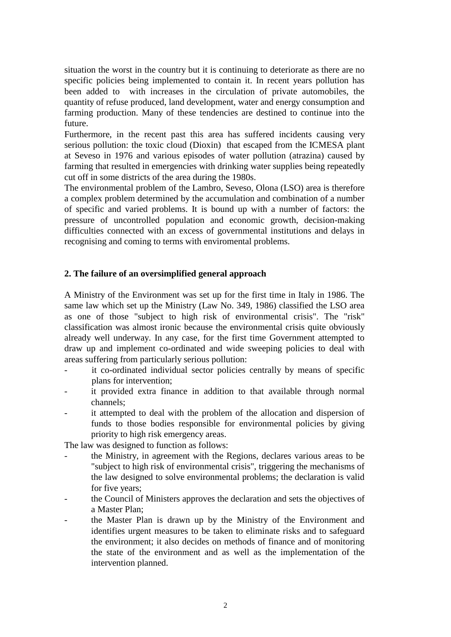situation the worst in the country but it is continuing to deteriorate as there are no specific policies being implemented to contain it. In recent years pollution has been added to with increases in the circulation of private automobiles, the quantity of refuse produced, land development, water and energy consumption and farming production. Many of these tendencies are destined to continue into the future.

Furthermore, in the recent past this area has suffered incidents causing very serious pollution: the toxic cloud (Dioxin) that escaped from the ICMESA plant at Seveso in 1976 and various episodes of water pollution (atrazina) caused by farming that resulted in emergencies with drinking water supplies being repeatedly cut off in some districts of the area during the 1980s.

The environmental problem of the Lambro, Seveso, Olona (LSO) area is therefore a complex problem determined by the accumulation and combination of a number of specific and varied problems. It is bound up with a number of factors: the pressure of uncontrolled population and economic growth, decision-making difficulties connected with an excess of governmental institutions and delays in recognising and coming to terms with enviromental problems.

# **2. The failure of an oversimplified general approach**

A Ministry of the Environment was set up for the first time in Italy in 1986. The same law which set up the Ministry (Law No. 349, 1986) classified the LSO area as one of those "subject to high risk of environmental crisis". The "risk" classification was almost ironic because the environmental crisis quite obviously already well underway. In any case, for the first time Government attempted to draw up and implement co-ordinated and wide sweeping policies to deal with areas suffering from particularly serious pollution:

- it co-ordinated individual sector policies centrally by means of specific plans for intervention;
- it provided extra finance in addition to that available through normal channels;
- it attempted to deal with the problem of the allocation and dispersion of funds to those bodies responsible for environmental policies by giving priority to high risk emergency areas.

The law was designed to function as follows:

- the Ministry, in agreement with the Regions, declares various areas to be "subject to high risk of environmental crisis", triggering the mechanisms of the law designed to solve environmental problems; the declaration is valid for five years;
- the Council of Ministers approves the declaration and sets the objectives of a Master Plan;
- the Master Plan is drawn up by the Ministry of the Environment and identifies urgent measures to be taken to eliminate risks and to safeguard the environment; it also decides on methods of finance and of monitoring the state of the environment and as well as the implementation of the intervention planned.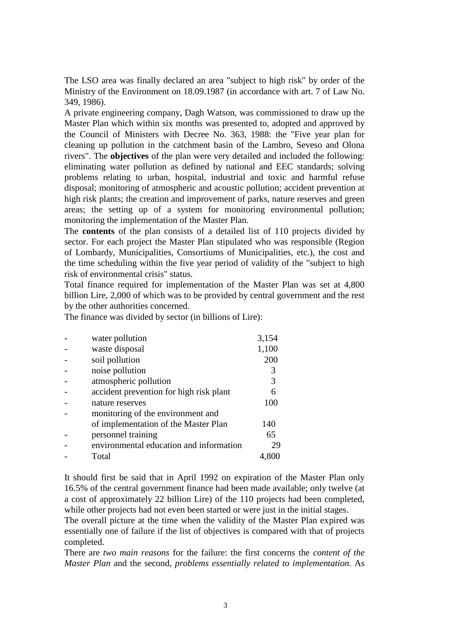The LSO area was finally declared an area "subject to high risk" by order of the Ministry of the Environment on 18.09.1987 (in accordance with art. 7 of Law No. 349, 1986).

A private engineering company, Dagh Watson, was commissioned to draw up the Master Plan which within six months was presented to, adopted and approved by the Council of Ministers with Decree No. 363, 1988: the "Five year plan for cleaning up pollution in the catchment basin of the Lambro, Seveso and Olona rivers". The **objectives** of the plan were very detailed and included the following: eliminating water pollution as defined by national and EEC standards; solving problems relating to urban, hospital, industrial and toxic and harmful refuse disposal; monitoring of atmospheric and acoustic pollution; accident prevention at high risk plants; the creation and improvement of parks, nature reserves and green areas; the setting up of a system for monitoring environmental pollution; monitoring the implementation of the Master Plan.

The **contents** of the plan consists of a detailed list of 110 projects divided by sector. For each project the Master Plan stipulated who was responsible (Region of Lombardy, Municipalities, Consortiums of Municipalities, etc.), the cost and the time scheduling within the five year period of validity of the "subject to high risk of environmental crisis" status.

Total finance required for implementation of the Master Plan was set at 4,800 billion Lire, 2,000 of which was to be provided by central government and the rest by the other authorities concerned.

The finance was divided by sector (in billions of Lire):

| water pollution                         | 3,154 |
|-----------------------------------------|-------|
| waste disposal                          | 1,100 |
| soil pollution                          | 200   |
| noise pollution                         | 3     |
| atmospheric pollution                   | 3     |
| accident prevention for high risk plant | 6     |
| nature reserves                         | 100   |
| monitoring of the environment and       |       |
| of implementation of the Master Plan    | 140   |
| personnel training                      | 65    |
| environmental education and information | 29    |
| Total                                   |       |

It should first be said that in April 1992 on expiration of the Master Plan only 16.5% of the central government finance had been made available; only twelve (at a cost of approximately 22 billion Lire) of the 110 projects had been completed, while other projects had not even been started or were just in the initial stages.

The overall picture at the time when the validity of the Master Plan expired was essentially one of failure if the list of objectives is compared with that of projects completed.

There are *two main reasons* for the failure: the first concerns the *content of the Master Plan* and the second, *problems essentially related to implementation*. As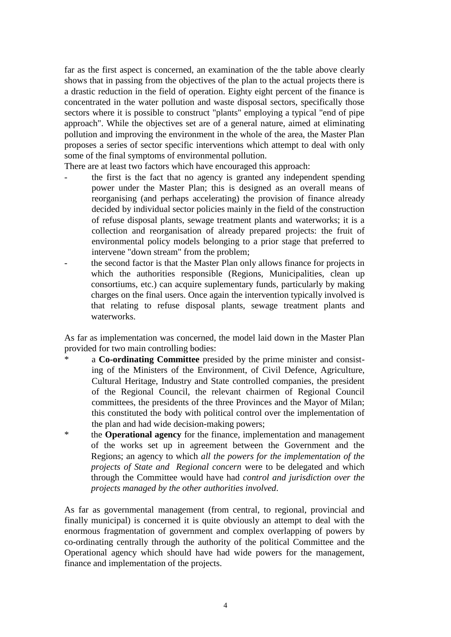far as the first aspect is concerned, an examination of the the table above clearly shows that in passing from the objectives of the plan to the actual projects there is a drastic reduction in the field of operation. Eighty eight percent of the finance is concentrated in the water pollution and waste disposal sectors, specifically those sectors where it is possible to construct "plants" employing a typical "end of pipe approach". While the objectives set are of a general nature, aimed at eliminating pollution and improving the environment in the whole of the area, the Master Plan proposes a series of sector specific interventions which attempt to deal with only some of the final symptoms of environmental pollution.

There are at least two factors which have encouraged this approach:

- the first is the fact that no agency is granted any independent spending power under the Master Plan; this is designed as an overall means of reorganising (and perhaps accelerating) the provision of finance already decided by individual sector policies mainly in the field of the construction of refuse disposal plants, sewage treatment plants and waterworks; it is a collection and reorganisation of already prepared projects: the fruit of environmental policy models belonging to a prior stage that preferred to intervene "down stream" from the problem;
- the second factor is that the Master Plan only allows finance for projects in which the authorities responsible (Regions, Municipalities, clean up consortiums, etc.) can acquire suplementary funds, particularly by making charges on the final users. Once again the intervention typically involved is that relating to refuse disposal plants, sewage treatment plants and waterworks.

As far as implementation was concerned, the model laid down in the Master Plan provided for two main controlling bodies:

- \* a **Co-ordinating Committee** presided by the prime minister and consisting of the Ministers of the Environment, of Civil Defence, Agriculture, Cultural Heritage, Industry and State controlled companies, the president of the Regional Council, the relevant chairmen of Regional Council committees, the presidents of the three Provinces and the Mayor of Milan; this constituted the body with political control over the implementation of the plan and had wide decision-making powers;
- \* the **Operational agency** for the finance, implementation and management of the works set up in agreement between the Government and the Regions; an agency to which *all the powers for the implementation of the projects of State and Regional concern* were to be delegated and which through the Committee would have had *control and jurisdiction over the projects managed by the other authorities involved*.

As far as governmental management (from central, to regional, provincial and finally municipal) is concerned it is quite obviously an attempt to deal with the enormous fragmentation of government and complex overlapping of powers by co-ordinating centrally through the authority of the political Committee and the Operational agency which should have had wide powers for the management, finance and implementation of the projects.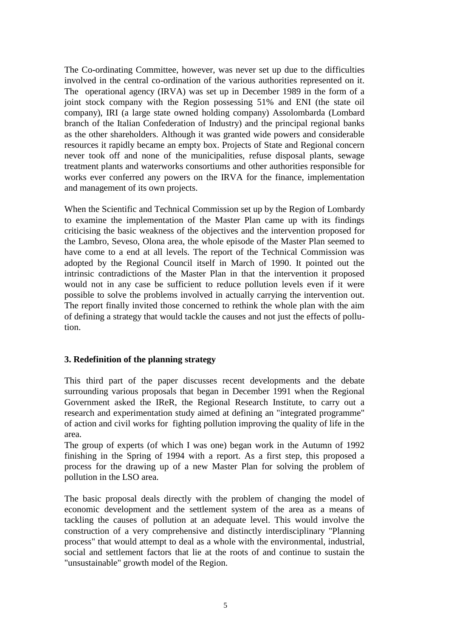The Co-ordinating Committee, however, was never set up due to the difficulties involved in the central co-ordination of the various authorities represented on it. The operational agency (IRVA) was set up in December 1989 in the form of a joint stock company with the Region possessing 51% and ENI (the state oil company), IRI (a large state owned holding company) Assolombarda (Lombard branch of the Italian Confederation of Industry) and the principal regional banks as the other shareholders. Although it was granted wide powers and considerable resources it rapidly became an empty box. Projects of State and Regional concern never took off and none of the municipalities, refuse disposal plants, sewage treatment plants and waterworks consortiums and other authorities responsible for works ever conferred any powers on the IRVA for the finance, implementation and management of its own projects.

When the Scientific and Technical Commission set up by the Region of Lombardy to examine the implementation of the Master Plan came up with its findings criticising the basic weakness of the objectives and the intervention proposed for the Lambro, Seveso, Olona area, the whole episode of the Master Plan seemed to have come to a end at all levels. The report of the Technical Commission was adopted by the Regional Council itself in March of 1990. It pointed out the intrinsic contradictions of the Master Plan in that the intervention it proposed would not in any case be sufficient to reduce pollution levels even if it were possible to solve the problems involved in actually carrying the intervention out. The report finally invited those concerned to rethink the whole plan with the aim of defining a strategy that would tackle the causes and not just the effects of pollution.

## **3. Redefinition of the planning strategy**

This third part of the paper discusses recent developments and the debate surrounding various proposals that began in December 1991 when the Regional Government asked the IReR, the Regional Research Institute, to carry out a research and experimentation study aimed at defining an "integrated programme" of action and civil works for fighting pollution improving the quality of life in the area.

The group of experts (of which I was one) began work in the Autumn of 1992 finishing in the Spring of 1994 with a report. As a first step, this proposed a process for the drawing up of a new Master Plan for solving the problem of pollution in the LSO area.

The basic proposal deals directly with the problem of changing the model of economic development and the settlement system of the area as a means of tackling the causes of pollution at an adequate level. This would involve the construction of a very comprehensive and distinctly interdisciplinary "Planning process" that would attempt to deal as a whole with the environmental, industrial, social and settlement factors that lie at the roots of and continue to sustain the "unsustainable" growth model of the Region.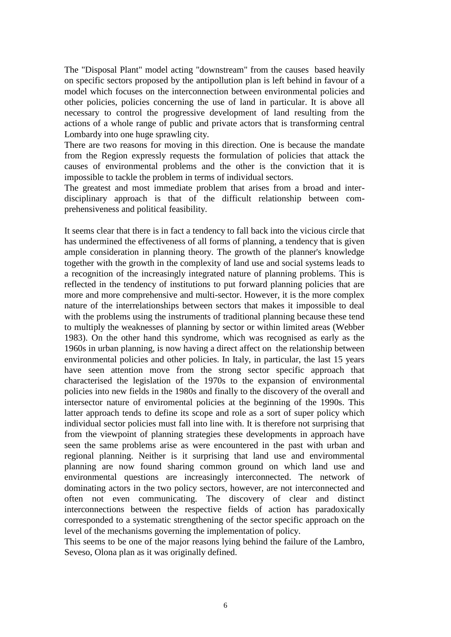The "Disposal Plant" model acting "downstream" from the causes based heavily on specific sectors proposed by the antipollution plan is left behind in favour of a model which focuses on the interconnection between environmental policies and other policies, policies concerning the use of land in particular. It is above all necessary to control the progressive development of land resulting from the actions of a whole range of public and private actors that is transforming central Lombardy into one huge sprawling city.

There are two reasons for moving in this direction. One is because the mandate from the Region expressly requests the formulation of policies that attack the causes of environmental problems and the other is the conviction that it is impossible to tackle the problem in terms of individual sectors.

The greatest and most immediate problem that arises from a broad and interdisciplinary approach is that of the difficult relationship between comprehensiveness and political feasibility.

It seems clear that there is in fact a tendency to fall back into the vicious circle that has undermined the effectiveness of all forms of planning, a tendency that is given ample consideration in planning theory. The growth of the planner's knowledge together with the growth in the complexity of land use and social systems leads to a recognition of the increasingly integrated nature of planning problems. This is reflected in the tendency of institutions to put forward planning policies that are more and more comprehensive and multi-sector. However, it is the more complex nature of the interrelationships between sectors that makes it impossible to deal with the problems using the instruments of traditional planning because these tend to multiply the weaknesses of planning by sector or within limited areas (Webber 1983). On the other hand this syndrome, which was recognised as early as the 1960s in urban planning, is now having a direct affect on the relationship between environmental policies and other policies. In Italy, in particular, the last 15 years have seen attention move from the strong sector specific approach that characterised the legislation of the 1970s to the expansion of environmental policies into new fields in the 1980s and finally to the discovery of the overall and intersector nature of enviromental policies at the beginning of the 1990s. This latter approach tends to define its scope and role as a sort of super policy which individual sector policies must fall into line with. It is therefore not surprising that from the viewpoint of planning strategies these developments in approach have seen the same problems arise as were encountered in the past with urban and regional planning. Neither is it surprising that land use and envirommental planning are now found sharing common ground on which land use and environmental questions are increasingly interconnected. The network of dominating actors in the two policy sectors, however, are not interconnected and often not even communicating. The discovery of clear and distinct interconnections between the respective fields of action has paradoxically corresponded to a systematic strengthening of the sector specific approach on the level of the mechanisms governing the implementation of policy.

This seems to be one of the major reasons lying behind the failure of the Lambro, Seveso, Olona plan as it was originally defined.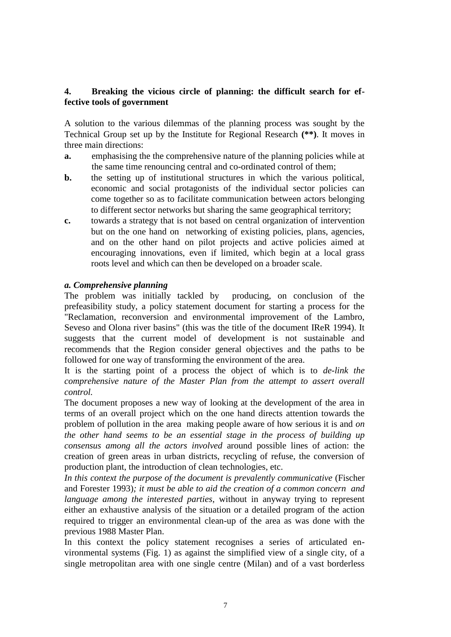# **4. Breaking the vicious circle of planning: the difficult search for effective tools of government**

A solution to the various dilemmas of the planning process was sought by the Technical Group set up by the Institute for Regional Research **(\*\*)**. It moves in three main directions:

- **a.** emphasising the the comprehensive nature of the planning policies while at the same time renouncing central and co-ordinated control of them;
- **b.** the setting up of institutional structures in which the various political, economic and social protagonists of the individual sector policies can come together so as to facilitate communication between actors belonging to different sector networks but sharing the same geographical territory;
- **c.** towards a strategy that is not based on central organization of intervention but on the one hand on networking of existing policies, plans, agencies, and on the other hand on pilot projects and active policies aimed at encouraging innovations, even if limited, which begin at a local grass roots level and which can then be developed on a broader scale.

## *a. Comprehensive planning*

The problem was initially tackled by producing, on conclusion of the prefeasibility study, a policy statement document for starting a process for the "Reclamation, reconversion and environmental improvement of the Lambro, Seveso and Olona river basins" (this was the title of the document IReR 1994). It suggests that the current model of development is not sustainable and recommends that the Region consider general objectives and the paths to be followed for one way of transforming the environment of the area.

It is the starting point of a process the object of which is to *de-link the comprehensive nature of the Master Plan from the attempt to assert overall control.*

The document proposes a new way of looking at the development of the area in terms of an overall project which on the one hand directs attention towards the problem of pollution in the area making people aware of how serious it is and *on the other hand seems to be an essential stage in the process of building up consensus among all the actors involved* around possible lines of action: the creation of green areas in urban districts, recycling of refuse, the conversion of production plant, the introduction of clean technologies, etc.

*In this context the purpose of the document is prevalently communicative* (Fischer and Forester 1993)*; it must be able to aid the creation of a common concern and language among the interested parties*, without in anyway trying to represent either an exhaustive analysis of the situation or a detailed program of the action required to trigger an environmental clean-up of the area as was done with the previous 1988 Master Plan.

In this context the policy statement recognises a series of articulated environmental systems (Fig. 1) as against the simplified view of a single city, of a single metropolitan area with one single centre (Milan) and of a vast borderless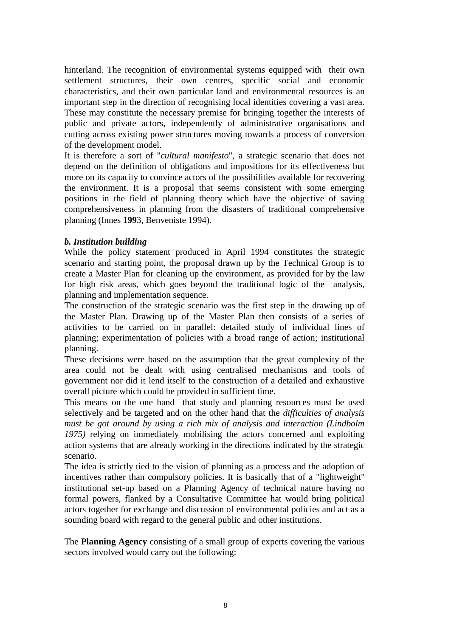hinterland. The recognition of environmental systems equipped with their own settlement structures, their own centres, specific social and economic characteristics, and their own particular land and environmental resources is an important step in the direction of recognising local identities covering a vast area. These may constitute the necessary premise for bringing together the interests of public and private actors, independently of administrative organisations and cutting across existing power structures moving towards a process of conversion of the development model.

It is therefore a sort of "*cultural manifesto*", a strategic scenario that does not depend on the definition of obligations and impositions for its effectiveness but more on its capacity to convince actors of the possibilities available for recovering the environment. It is a proposal that seems consistent with some emerging positions in the field of planning theory which have the objective of saving comprehensiveness in planning from the disasters of traditional comprehensive planning (Innes **199**3, Benveniste 1994).

### *b. Institution building*

While the policy statement produced in April 1994 constitutes the strategic scenario and starting point, the proposal drawn up by the Technical Group is to create a Master Plan for cleaning up the environment, as provided for by the law for high risk areas, which goes beyond the traditional logic of the analysis, planning and implementation sequence.

The construction of the strategic scenario was the first step in the drawing up of the Master Plan. Drawing up of the Master Plan then consists of a series of activities to be carried on in parallel: detailed study of individual lines of planning; experimentation of policies with a broad range of action; institutional planning.

These decisions were based on the assumption that the great complexity of the area could not be dealt with using centralised mechanisms and tools of government nor did it lend itself to the construction of a detailed and exhaustive overall picture which could be provided in sufficient time.

This means on the one hand that study and planning resources must be used selectively and be targeted and on the other hand that the *difficulties of analysis must be got around by using a rich mix of analysis and interaction (Lindbolm 1975)* relying on immediately mobilising the actors concerned and exploiting action systems that are already working in the directions indicated by the strategic scenario.

The idea is strictly tied to the vision of planning as a process and the adoption of incentives rather than compulsory policies. It is basically that of a "lightweight" institutional set-up based on a Planning Agency of technical nature having no formal powers, flanked by a Consultative Committee hat would bring political actors together for exchange and discussion of environmental policies and act as a sounding board with regard to the general public and other institutions.

The **Planning Agency** consisting of a small group of experts covering the various sectors involved would carry out the following: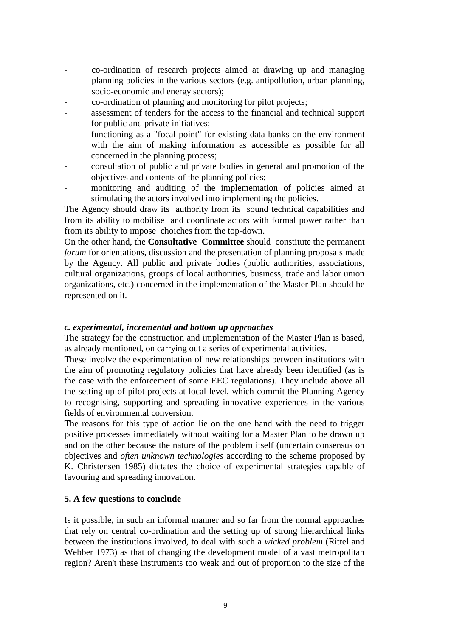- co-ordination of research projects aimed at drawing up and managing planning policies in the various sectors (e.g. antipollution, urban planning, socio-economic and energy sectors);
- co-ordination of planning and monitoring for pilot projects;
- assessment of tenders for the access to the financial and technical support for public and private initiatives;
- functioning as a "focal point" for existing data banks on the environment with the aim of making information as accessible as possible for all concerned in the planning process;
- consultation of public and private bodies in general and promotion of the objectives and contents of the planning policies;
- monitoring and auditing of the implementation of policies aimed at stimulating the actors involved into implementing the policies.

The Agency should draw its authority from its sound technical capabilities and from its ability to mobilise and coordinate actors with formal power rather than from its ability to impose choiches from the top-down.

On the other hand, the **Consultative Committee** should constitute the permanent *forum* for orientations, discussion and the presentation of planning proposals made by the Agency. All public and private bodies (public authorities, associations, cultural organizations, groups of local authorities, business, trade and labor union organizations, etc.) concerned in the implementation of the Master Plan should be represented on it.

## *c. experimental, incremental and bottom up approaches*

The strategy for the construction and implementation of the Master Plan is based, as already mentioned, on carrying out a series of experimental activities.

These involve the experimentation of new relationships between institutions with the aim of promoting regulatory policies that have already been identified (as is the case with the enforcement of some EEC regulations). They include above all the setting up of pilot projects at local level, which commit the Planning Agency to recognising, supporting and spreading innovative experiences in the various fields of environmental conversion.

The reasons for this type of action lie on the one hand with the need to trigger positive processes immediately without waiting for a Master Plan to be drawn up and on the other because the nature of the problem itself (uncertain consensus on objectives and *often unknown technologies* according to the scheme proposed by K. Christensen 1985) dictates the choice of experimental strategies capable of favouring and spreading innovation.

## **5. A few questions to conclude**

Is it possible, in such an informal manner and so far from the normal approaches that rely on central co-ordination and the setting up of strong hierarchical links between the institutions involved, to deal with such a *wicked problem* (Rittel and Webber 1973) as that of changing the development model of a vast metropolitan region? Aren't these instruments too weak and out of proportion to the size of the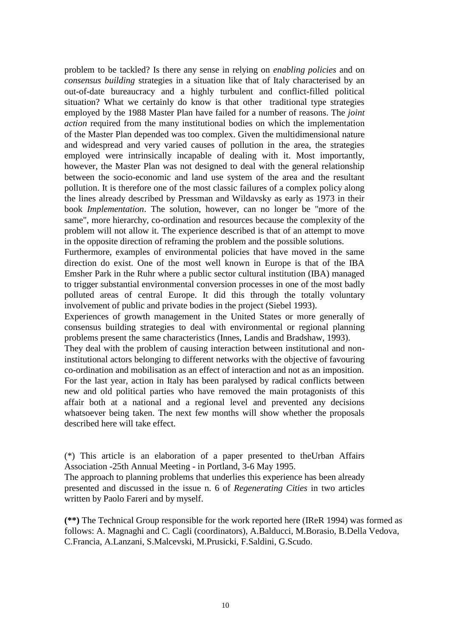problem to be tackled? Is there any sense in relying on *enabling policies* and on *consensus building* strategies in a situation like that of Italy characterised by an out-of-date bureaucracy and a highly turbulent and conflict-filled political situation? What we certainly do know is that other traditional type strategies employed by the 1988 Master Plan have failed for a number of reasons. The *joint action* required from the many institutional bodies on which the implementation of the Master Plan depended was too complex. Given the multidimensional nature and widespread and very varied causes of pollution in the area, the strategies employed were intrinsically incapable of dealing with it. Most importantly, however, the Master Plan was not designed to deal with the general relationship between the socio-economic and land use system of the area and the resultant pollution. It is therefore one of the most classic failures of a complex policy along the lines already described by Pressman and Wildavsky as early as 1973 in their book *Implementation*. The solution, however, can no longer be "more of the same", more hierarchy, co-ordination and resources because the complexity of the problem will not allow it. The experience described is that of an attempt to move in the opposite direction of reframing the problem and the possible solutions.

Furthermore, examples of environmental policies that have moved in the same direction do exist. One of the most well known in Europe is that of the IBA Emsher Park in the Ruhr where a public sector cultural institution (IBA) managed to trigger substantial environmental conversion processes in one of the most badly polluted areas of central Europe. It did this through the totally voluntary involvement of public and private bodies in the project (Siebel 1993).

Experiences of growth management in the United States or more generally of consensus building strategies to deal with environmental or regional planning problems present the same characteristics (Innes, Landis and Bradshaw, 1993).

They deal with the problem of causing interaction between institutional and noninstitutional actors belonging to different networks with the objective of favouring co-ordination and mobilisation as an effect of interaction and not as an imposition. For the last year, action in Italy has been paralysed by radical conflicts between new and old political parties who have removed the main protagonists of this affair both at a national and a regional level and prevented any decisions whatsoever being taken. The next few months will show whether the proposals described here will take effect.

(\*) This article is an elaboration of a paper presented to theUrban Affairs Association -25th Annual Meeting - in Portland, 3-6 May 1995.

The approach to planning problems that underlies this experience has been already presented and discussed in the issue n. 6 of *Regenerating Cities* in two articles written by Paolo Fareri and by myself.

**(\*\*)** The Technical Group responsible for the work reported here (IReR 1994) was formed as follows: A. Magnaghi and C. Cagli (coordinators), A.Balducci, M.Borasio, B.Della Vedova, C.Francia, A.Lanzani, S.Malcevski, M.Prusicki, F.Saldini, G.Scudo.